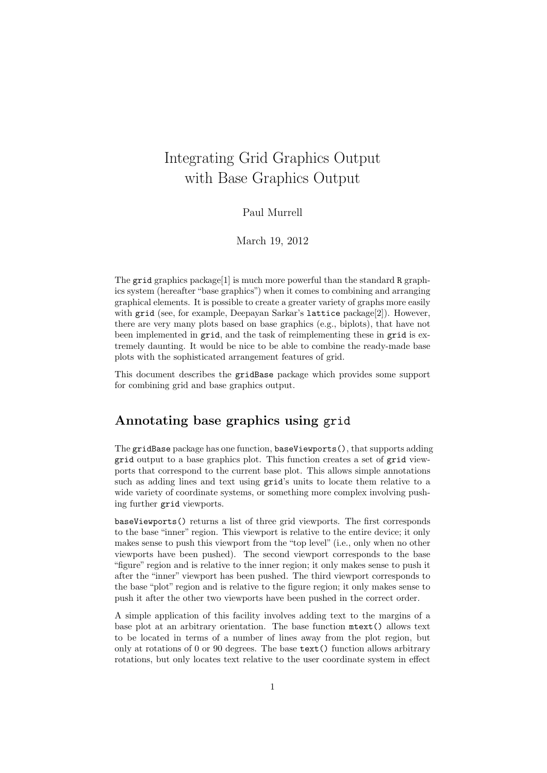# Integrating Grid Graphics Output with Base Graphics Output

#### Paul Murrell

March 19, 2012

The grid graphics package<sup>[1]</sup> is much more powerful than the standard R graphics system (hereafter "base graphics") when it comes to combining and arranging graphical elements. It is possible to create a greater variety of graphs more easily with grid (see, for example, Deepayan Sarkar's lattice package[2]). However, there are very many plots based on base graphics (e.g., biplots), that have not been implemented in grid, and the task of reimplementing these in grid is extremely daunting. It would be nice to be able to combine the ready-made base plots with the sophisticated arrangement features of grid.

This document describes the gridBase package which provides some support for combining grid and base graphics output.

### Annotating base graphics using grid

The gridBase package has one function, baseViewports(), that supports adding grid output to a base graphics plot. This function creates a set of grid viewports that correspond to the current base plot. This allows simple annotations such as adding lines and text using grid's units to locate them relative to a wide variety of coordinate systems, or something more complex involving pushing further grid viewports.

baseViewports() returns a list of three grid viewports. The first corresponds to the base "inner" region. This viewport is relative to the entire device; it only makes sense to push this viewport from the "top level" (i.e., only when no other viewports have been pushed). The second viewport corresponds to the base "figure" region and is relative to the inner region; it only makes sense to push it after the "inner" viewport has been pushed. The third viewport corresponds to the base "plot" region and is relative to the figure region; it only makes sense to push it after the other two viewports have been pushed in the correct order.

A simple application of this facility involves adding text to the margins of a base plot at an arbitrary orientation. The base function mtext() allows text to be located in terms of a number of lines away from the plot region, but only at rotations of 0 or 90 degrees. The base text() function allows arbitrary rotations, but only locates text relative to the user coordinate system in effect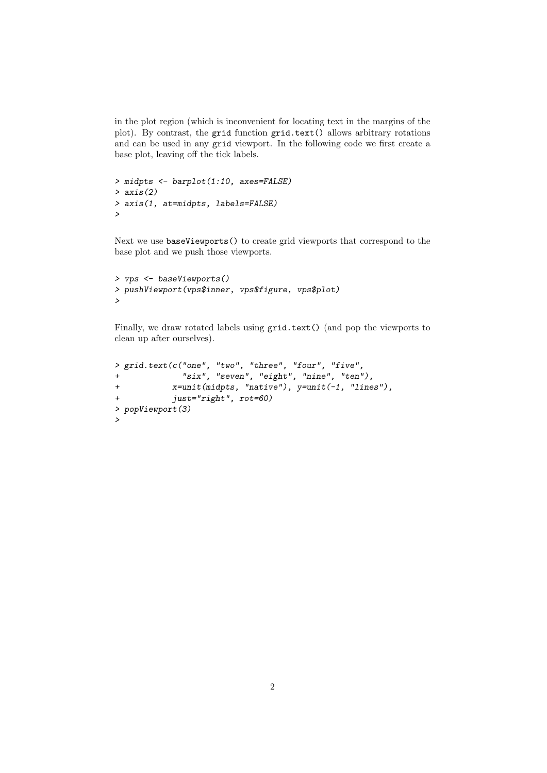in the plot region (which is inconvenient for locating text in the margins of the plot). By contrast, the grid function grid.text() allows arbitrary rotations and can be used in any grid viewport. In the following code we first create a base plot, leaving off the tick labels.

```
> midpts <- barplot(1:10, axes=FALSE)
> axis(2)
> axis(1, at=midpts, labels=FALSE)
>
```
Next we use baseViewports() to create grid viewports that correspond to the base plot and we push those viewports.

```
> vps <- baseViewports()
> pushViewport(vps$inner, vps$figure, vps$plot)
\rightarrow
```
Finally, we draw rotated labels using grid.text() (and pop the viewports to clean up after ourselves).

```
> grid.text(c("one", "two", "three", "four", "five",
+ "six", "seven", "eight", "nine", "ten"),
+ x=unit(midpts, "native"), y=unit(-1, "lines"),
+ just="right", rot=60)
> popViewport(3)
>
```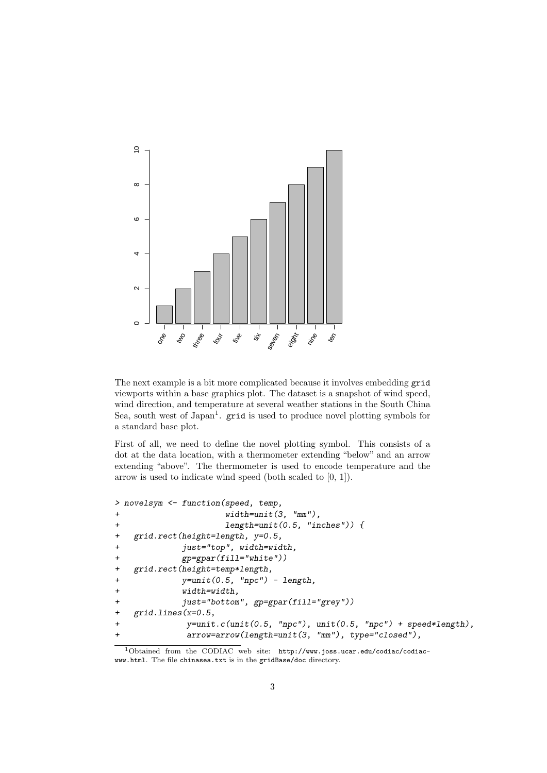

The next example is a bit more complicated because it involves embedding grid viewports within a base graphics plot. The dataset is a snapshot of wind speed, wind direction, and temperature at several weather stations in the South China Sea, south west of Japan<sup>1</sup>. **grid** is used to produce novel plotting symbols for a standard base plot.

First of all, we need to define the novel plotting symbol. This consists of a dot at the data location, with a thermometer extending "below" and an arrow extending "above". The thermometer is used to encode temperature and the arrow is used to indicate wind speed (both scaled to [0, 1]).

```
> novelsym <- function(speed, temp,
+ width=unit(3, "mm"),
+ length=unit(0.5, "inches")) {
+ grid.rect(height=length, y=0.5,
+ just="top", width=width,
+ gp=gpar(fill="white"))
+ grid.rect(height=temp*length,
+ y=unit(0.5, "npc") - length,
+ width=width,
+ just="bottom", gp=gpar(fill="grey"))
+ grid.lines(x=0.5,
+ y=unit.c(unit(0.5, "npc"), unit(0.5, "npc") + speed*length),
+ arrow=arrow(length=unit(3, "mm"), type="closed"),
```
<sup>1</sup>Obtained from the CODIAC web site: http://www.joss.ucar.edu/codiac/codiacwww.html. The file chinasea.txt is in the gridBase/doc directory.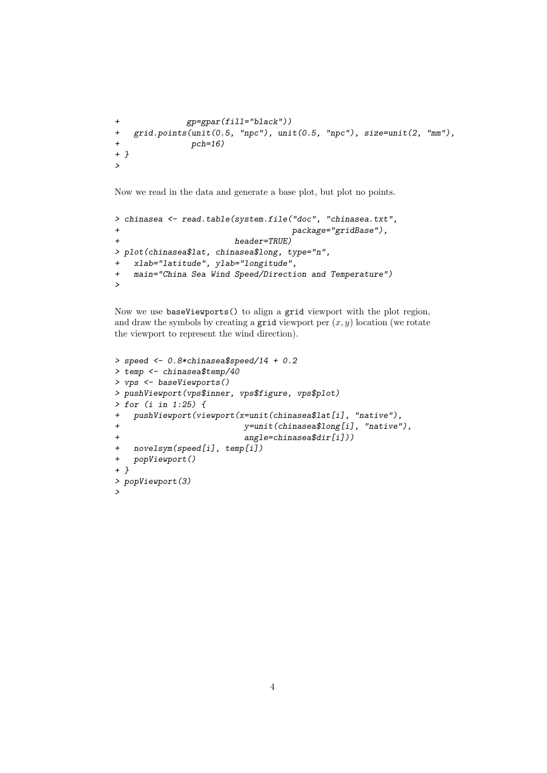```
+ gp=gpar(fill="black"))
+ grid.points(unit(0.5, "npc"), unit(0.5, "npc"), size=unit(2, "mm"),
+ pch=16)
+ }
>
```
Now we read in the data and generate a base plot, but plot no points.

```
> chinasea <- read.table(system.file("doc", "chinasea.txt",
+ package="gridBase"),
+ header=TRUE)
> plot(chinasea$lat, chinasea$long, type="n",
+ xlab="latitude", ylab="longitude",
+ main="China Sea Wind Speed/Direction and Temperature")
>
```
Now we use baseViewports() to align a grid viewport with the plot region, and draw the symbols by creating a grid viewport per  $(x, y)$  location (we rotate the viewport to represent the wind direction).

```
> speed <- 0.8*chinasea$speed/14 + 0.2
> temp <- chinasea$temp/40
> vps <- baseViewports()
> pushViewport(vps$inner, vps$figure, vps$plot)
> for (i in 1:25) {
+ pushViewport(viewport(x=unit(chinasea$lat[i], "native"),
+ y=unit(chinasea$long[i], "native"),
                         angle = chinasea$dir[i]))
+ novelsym(speed[i], temp[i])
+ popViewport()
+ }
> popViewport(3)
>
```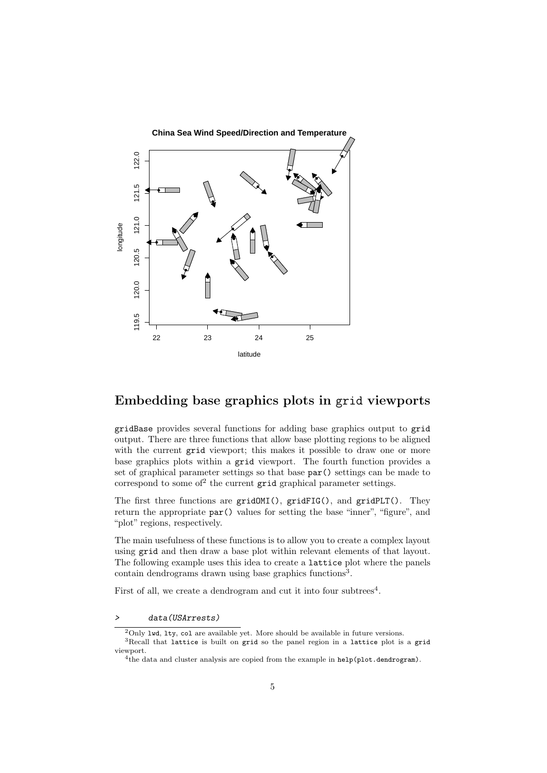

### Embedding base graphics plots in grid viewports

gridBase provides several functions for adding base graphics output to grid output. There are three functions that allow base plotting regions to be aligned with the current grid viewport; this makes it possible to draw one or more base graphics plots within a grid viewport. The fourth function provides a set of graphical parameter settings so that base par() settings can be made to correspond to some of<sup>2</sup> the current  $grid$  graphical parameter settings.

The first three functions are gridOMI(), gridFIG(), and gridPLT(). They return the appropriate par() values for setting the base "inner", "figure", and "plot" regions, respectively.

The main usefulness of these functions is to allow you to create a complex layout using grid and then draw a base plot within relevant elements of that layout. The following example uses this idea to create a lattice plot where the panels contain dendrograms drawn using base graphics functions<sup>3</sup>.

First of all, we create a dendrogram and cut it into four subtrees<sup>4</sup>.

data(USArrests)

 $2$ Only 1wd, 1ty, col are available yet. More should be available in future versions.

<sup>&</sup>lt;sup>3</sup>Recall that lattice is built on grid so the panel region in a lattice plot is a grid viewport.

<sup>&</sup>lt;sup>4</sup>the data and cluster analysis are copied from the example in help(plot.dendrogram).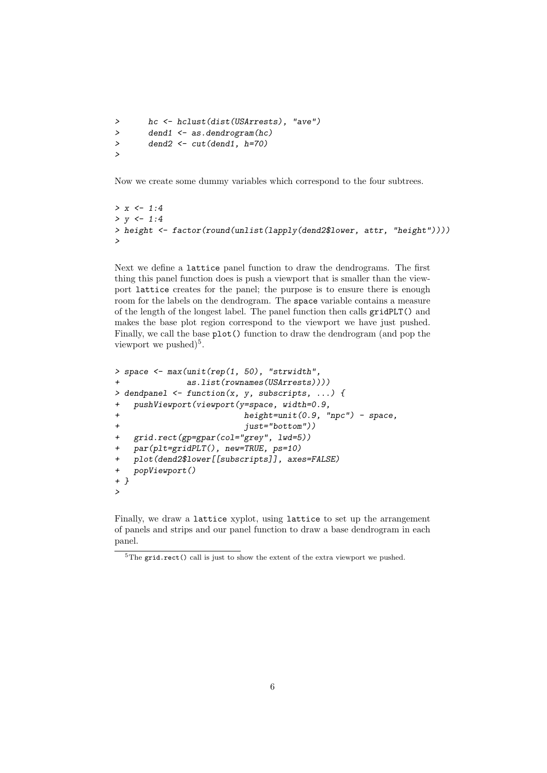```
> hc <- hclust(dist(USArrests), "ave")
> dend1 <- as.dendrogram(hc)
> dend2 <- cut(dend1, h=70)
>
```
Now we create some dummy variables which correspond to the four subtrees.

```
> x < -1:4> v \le -1:4> height <- factor(round(unlist(lapply(dend2$lower, attr, "height"))))
\ddot{\phantom{1}}
```
Next we define a lattice panel function to draw the dendrograms. The first thing this panel function does is push a viewport that is smaller than the viewport lattice creates for the panel; the purpose is to ensure there is enough room for the labels on the dendrogram. The space variable contains a measure of the length of the longest label. The panel function then calls gridPLT() and makes the base plot region correspond to the viewport we have just pushed. Finally, we call the base plot() function to draw the dendrogram (and pop the viewport we pushed)<sup>5</sup>.

```
> space <- max(unit(rep(1, 50), "strwidth",
+ as.list(rownames(USArrests))))
> dendpanel <- function(x, y, subscripts, ...) {
+ pushViewport(viewport(y=space, width=0.9,
+ height=unit(0.9, "npc") - space,
+ just="bottom"))<br>+ grid.rect(gp=gpar(col="grev", lwd=5))
   grid.rect(gp=gpar(col='grey", 1wd=5))+ par(plt=gridPLT(), new=TRUE, ps=10)
+ plot(dend2$lower[[subscripts]], axes=FALSE)
+ popViewport()
+ }
>
```
Finally, we draw a lattice xyplot, using lattice to set up the arrangement of panels and strips and our panel function to draw a base dendrogram in each panel.

 ${}^{5}$ The grid.rect() call is just to show the extent of the extra viewport we pushed.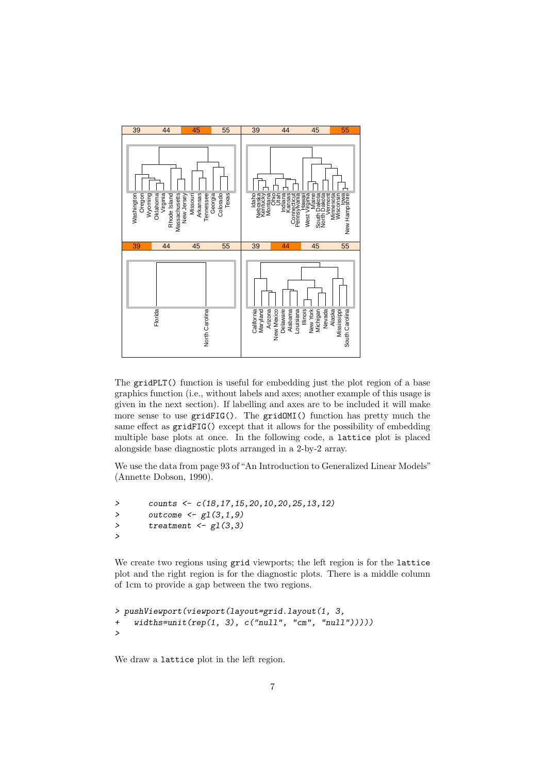

The gridPLT() function is useful for embedding just the plot region of a base graphics function (i.e., without labels and axes; another example of this usage is given in the next section). If labelling and axes are to be included it will make more sense to use gridFIG(). The gridOMI() function has pretty much the same effect as gridFIG() except that it allows for the possibility of embedding multiple base plots at once. In the following code, a lattice plot is placed alongside base diagnostic plots arranged in a 2-by-2 array.

We use the data from page 93 of "An Introduction to Generalized Linear Models" (Annette Dobson, 1990).

```
> counts <- c(18,17,15,20,10,20,25,13,12)
> outcome \leftarrow gl(3,1,9)
> treatment \leftarrow gl(3,3)>
```
We create two regions using grid viewports; the left region is for the lattice plot and the right region is for the diagnostic plots. There is a middle column of 1cm to provide a gap between the two regions.

```
> pushViewport(viewport(layout=grid.layout(1, 3,
+ widths=unit(rep(1, 3), c("null", "cm", "null")))))
>
```
We draw a lattice plot in the left region.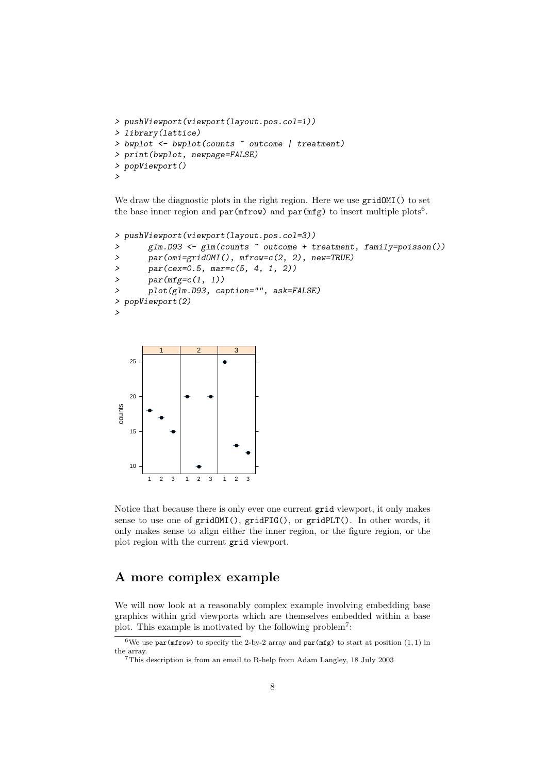```
> pushViewport(viewport(layout.pos.col=1))
> library(lattice)
> bwplot <- bwplot(counts ~ outcome | treatment)
> print(bwplot, newpage=FALSE)
> popViewport()
>
```
We draw the diagnostic plots in the right region. Here we use  $gridOMI()$  to set the base inner region and  $par(mfrow)$  and  $par(mfg)$  to insert multiple plots<sup>6</sup>.

```
> pushViewport(viewport(layout.pos.col=3))
> glm.D93 <- glm(counts ~ outcome + treatment, family=poisson())
> par(omi=gridOMI(), mfrow=c(2, 2), new=TRUE)
\frac{1}{2} par(cex=0.5, mar=c(5, 4, 1, 2))
> par(mfg=c(1, 1))
> plot(glm.D93, caption="", ask=FALSE)
> popViewport(2)
>
```


Notice that because there is only ever one current grid viewport, it only makes sense to use one of gridOMI(), gridFIG(), or gridPLT(). In other words, it only makes sense to align either the inner region, or the figure region, or the plot region with the current grid viewport.

## A more complex example

We will now look at a reasonably complex example involving embedding base graphics within grid viewports which are themselves embedded within a base plot. This example is motivated by the following problem<sup>7</sup>:

<sup>&</sup>lt;sup>6</sup>We use par(mfrow) to specify the 2-by-2 array and par(mfg) to start at position  $(1, 1)$  in the array.

<sup>7</sup>This description is from an email to R-help from Adam Langley, 18 July 2003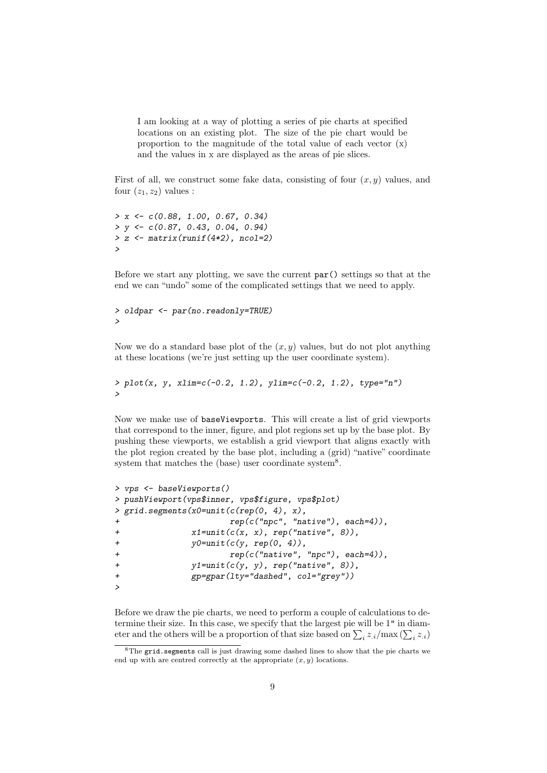I am looking at a way of plotting a series of pie charts at specified locations on an existing plot. The size of the pie chart would be proportion to the magnitude of the total value of each vector (x) and the values in x are displayed as the areas of pie slices.

First of all, we construct some fake data, consisting of four  $(x, y)$  values, and four  $(z_1, z_2)$  values :

```
> x \leftarrow c(0.88, 1.00, 0.67, 0.34)> y \leftarrow c(0.87, 0.43, 0.04, 0.94)> z <- matrix(runif(4*2), ncol=2)
>
```
Before we start any plotting, we save the current par() settings so that at the end we can "undo" some of the complicated settings that we need to apply.

```
> oldpar <- par(no.readonly=TRUE)
\rightarrow
```
Now we do a standard base plot of the  $(x, y)$  values, but do not plot anything at these locations (we're just setting up the user coordinate system).

```
> plot(x, y, xlim=c(-0.2, 1.2), ylim=c(-0.2, 1.2), type="n")
>
```
Now we make use of baseViewports. This will create a list of grid viewports that correspond to the inner, figure, and plot regions set up by the base plot. By pushing these viewports, we establish a grid viewport that aligns exactly with the plot region created by the base plot, including a (grid) "native" coordinate system that matches the (base) user coordinate system<sup>8</sup>.

```
> vps <- baseViewports()
> pushViewport(vps$inner, vps$figure, vps$plot)
> grid.segments(x0=unit(c(rep(0, 4), x),
+ rep(c("npc", "native"), each=4)),
+ x1=unit(c(x, x), rep("native", 8)),
+ y0=unit(c(y, rep(0, 4)),+ \text{rep}(c("native", "npc"), each=4)),+ y1=unit(c(y, y), rep("native", 8)),
+ gp=gpar(lty="dashed", col="grey"))
>
```
Before we draw the pie charts, we need to perform a couple of calculations to determine their size. In this case, we specify that the largest pie will be 1" in diameter and the others will be a proportion of that size based on  $\sum_i z_{\cdot i}/\max(\sum_i z_{\cdot i})$ 

<sup>8</sup>The grid.segments call is just drawing some dashed lines to show that the pie charts we end up with are centred correctly at the appropriate  $(x, y)$  locations.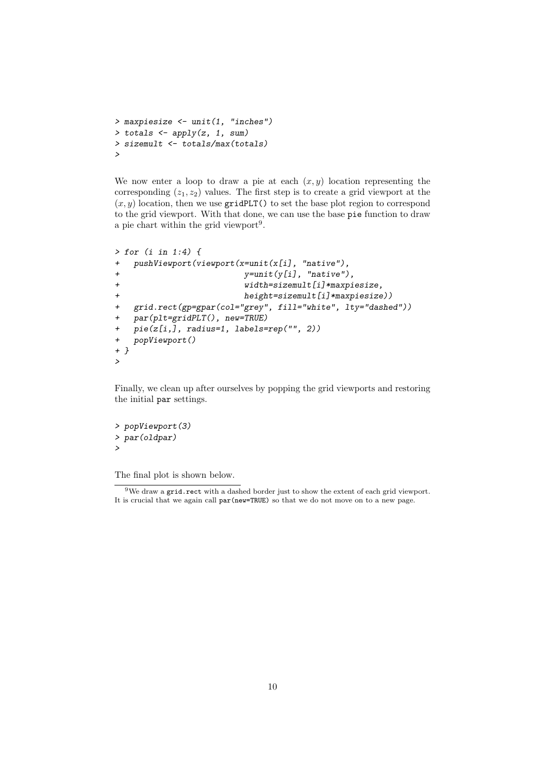```
> maxpiesize <- unit(1, "inches")
> totals \leftarrow apply(z, 1, sum)> sizemult <- totals/max(totals)
>
```
We now enter a loop to draw a pie at each  $(x, y)$  location representing the corresponding  $(z_1, z_2)$  values. The first step is to create a grid viewport at the  $(x, y)$  location, then we use gridPLT() to set the base plot region to correspond to the grid viewport. With that done, we can use the base pie function to draw a pie chart within the grid viewport<sup>9</sup>.

```
> for (i in 1:4) {
+ pushViewport(viewport(x=unit(x[i], "native"),
+ y=unit(y[i], "native"),
+ width=sizemult[i]*maxpiesize,
+ height=sizemult[i]*maxpiesize))
+ grid.rect(gp=gpar(col="grey", fill="white", lty="dashed"))
+ par(plt=gridPLT(), new=TRUE)
+ pie(z[i,], radius=1, labels=rep("", 2))
+ popViewport()
+ }
>
```
Finally, we clean up after ourselves by popping the grid viewports and restoring the initial par settings.

```
> popViewport(3)
> par(oldpar)
>
```
The final plot is shown below.

 $9$ We draw a grid.rect with a dashed border just to show the extent of each grid viewport. It is crucial that we again call par(new=TRUE) so that we do not move on to a new page.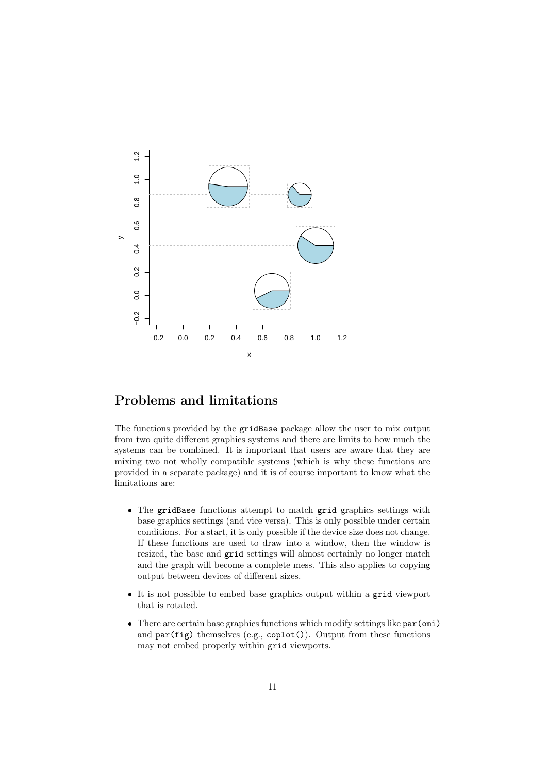

### Problems and limitations

The functions provided by the gridBase package allow the user to mix output from two quite different graphics systems and there are limits to how much the systems can be combined. It is important that users are aware that they are mixing two not wholly compatible systems (which is why these functions are provided in a separate package) and it is of course important to know what the limitations are:

- The gridBase functions attempt to match grid graphics settings with base graphics settings (and vice versa). This is only possible under certain conditions. For a start, it is only possible if the device size does not change. If these functions are used to draw into a window, then the window is resized, the base and grid settings will almost certainly no longer match and the graph will become a complete mess. This also applies to copying output between devices of different sizes.
- It is not possible to embed base graphics output within a grid viewport that is rotated.
- There are certain base graphics functions which modify settings like par(omi) and par(fig) themselves (e.g., coplot()). Output from these functions may not embed properly within grid viewports.